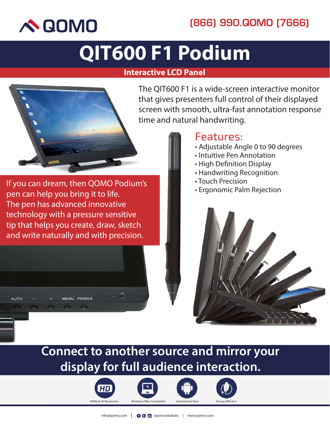

### (866) 990.QOMO (7666)

# **QIT600 F1 Podium**

### **Interactive LCD Panel**



The QIT600 F1 is a wide-screen interactive monitor that gives presenters full control of their displayed screen with smooth, ultra-fast annotation response time and natural handwriting.

and QOMO Podium's and the Como Precision<br>
and innovative and innovative and innovative and innovative and the Como Precision<br>
and innovative and innovative and innovative and the Como Precision and the Como Precision<br>
and technology with a pressure sensitive<br>tip that belps you create draw sketch If you can dream, then QOMO Podium's state of the state of the state of the pen can help you bring it to life.<br>The pen has advanced innovative the pen has advanced innovative pen can help you bring it to life. The pen has advanced innovative tip that helps you create, draw, sketch and write naturally and with precision.



### Features:

- Adjustable Angle 0 to 90 degrees
- Intuitive Pen Annotation
- High Definition Display
- Handwriting Recognition
- Touch Precision
- Ergonomic Palm Rejection



## **See the New Your display for full audience interaction. Connect to another source and mirror your**